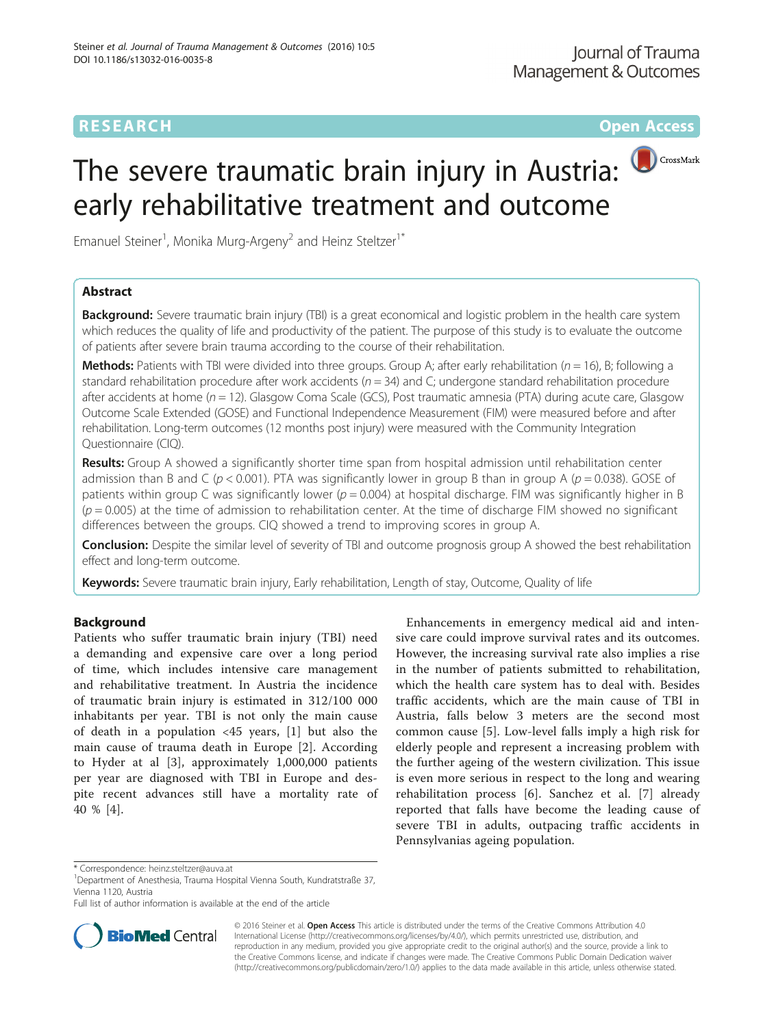# **RESEARCH RESEARCH** *CHECK CHECK CHECK CHECK CHECK CHECK CHECK CHECK CHECK CHECK CHECK CHECK CHECK CHECK CHECK CHECK CHECK CHECK CHECK CHECK CHECK CHECK CHECK CHECK CHECK CHECK CHECK CHECK CHECK CHECK CHECK CHECK CHECK*

# The severe traumatic brain injury in Austria: early rehabilitative treatment and outcome

Emanuel Steiner<sup>1</sup>, Monika Murg-Argeny<sup>2</sup> and Heinz Steltzer<sup>1\*</sup>

# Abstract

**Background:** Severe traumatic brain injury (TBI) is a great economical and logistic problem in the health care system which reduces the quality of life and productivity of the patient. The purpose of this study is to evaluate the outcome of patients after severe brain trauma according to the course of their rehabilitation.

**Methods:** Patients with TBI were divided into three groups. Group A; after early rehabilitation ( $n = 16$ ), B; following a standard rehabilitation procedure after work accidents ( $n = 34$ ) and C; undergone standard rehabilitation procedure after accidents at home  $(n = 12)$ . Glasgow Coma Scale (GCS), Post traumatic amnesia (PTA) during acute care, Glasgow Outcome Scale Extended (GOSE) and Functional Independence Measurement (FIM) were measured before and after rehabilitation. Long-term outcomes (12 months post injury) were measured with the Community Integration Questionnaire (CIQ).

Results: Group A showed a significantly shorter time span from hospital admission until rehabilitation center admission than B and C ( $p < 0.001$ ). PTA was significantly lower in group B than in group A ( $p = 0.038$ ). GOSE of patients within group C was significantly lower ( $p = 0.004$ ) at hospital discharge. FIM was significantly higher in B  $(p = 0.005)$  at the time of admission to rehabilitation center. At the time of discharge FIM showed no significant differences between the groups. CIQ showed a trend to improving scores in group A.

Conclusion: Despite the similar level of severity of TBI and outcome prognosis group A showed the best rehabilitation effect and long-term outcome.

Keywords: Severe traumatic brain injury, Early rehabilitation, Length of stay, Outcome, Quality of life

## Background

Patients who suffer traumatic brain injury (TBI) need a demanding and expensive care over a long period of time, which includes intensive care management and rehabilitative treatment. In Austria the incidence of traumatic brain injury is estimated in 312/100 000 inhabitants per year. TBI is not only the main cause of death in a population <45 years, [[1\]](#page-5-0) but also the main cause of trauma death in Europe [[2\]](#page-5-0). According to Hyder at al [[3\]](#page-5-0), approximately 1,000,000 patients per year are diagnosed with TBI in Europe and despite recent advances still have a mortality rate of 40 % [[4\]](#page-5-0).

Enhancements in emergency medical aid and intensive care could improve survival rates and its outcomes. However, the increasing survival rate also implies a rise in the number of patients submitted to rehabilitation, which the health care system has to deal with. Besides traffic accidents, which are the main cause of TBI in Austria, falls below 3 meters are the second most common cause [\[5](#page-5-0)]. Low-level falls imply a high risk for elderly people and represent a increasing problem with the further ageing of the western civilization. This issue is even more serious in respect to the long and wearing rehabilitation process [\[6](#page-5-0)]. Sanchez et al. [[7\]](#page-5-0) already reported that falls have become the leading cause of severe TBI in adults, outpacing traffic accidents in Pennsylvanias ageing population.

Full list of author information is available at the end of the article



© 2016 Steiner et al. Open Access This article is distributed under the terms of the Creative Commons Attribution 4.0 International License [\(http://creativecommons.org/licenses/by/4.0/](http://creativecommons.org/licenses/by/4.0/)), which permits unrestricted use, distribution, and reproduction in any medium, provided you give appropriate credit to the original author(s) and the source, provide a link to the Creative Commons license, and indicate if changes were made. The Creative Commons Public Domain Dedication waiver [\(http://creativecommons.org/publicdomain/zero/1.0/](http://creativecommons.org/publicdomain/zero/1.0/)) applies to the data made available in this article, unless otherwise stated.

<sup>\*</sup> Correspondence: [heinz.steltzer@auva.at](mailto:heinz.steltzer@auva.at) <sup>1</sup>

Department of Anesthesia, Trauma Hospital Vienna South, Kundratstraße 37, Vienna 1120, Austria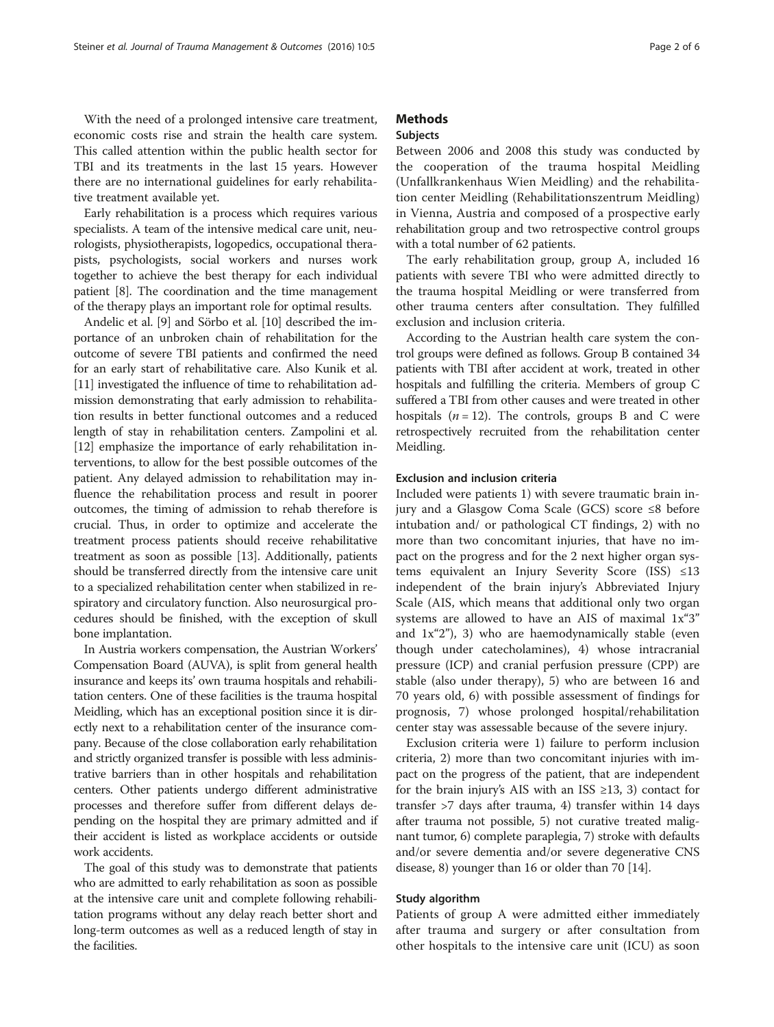With the need of a prolonged intensive care treatment, economic costs rise and strain the health care system. This called attention within the public health sector for TBI and its treatments in the last 15 years. However there are no international guidelines for early rehabilitative treatment available yet.

Early rehabilitation is a process which requires various specialists. A team of the intensive medical care unit, neurologists, physiotherapists, logopedics, occupational therapists, psychologists, social workers and nurses work together to achieve the best therapy for each individual patient [[8](#page-5-0)]. The coordination and the time management of the therapy plays an important role for optimal results.

Andelic et al. [[9\]](#page-5-0) and Sörbo et al. [\[10\]](#page-5-0) described the importance of an unbroken chain of rehabilitation for the outcome of severe TBI patients and confirmed the need for an early start of rehabilitative care. Also Kunik et al. [[11](#page-5-0)] investigated the influence of time to rehabilitation admission demonstrating that early admission to rehabilitation results in better functional outcomes and a reduced length of stay in rehabilitation centers. Zampolini et al. [[12](#page-5-0)] emphasize the importance of early rehabilitation interventions, to allow for the best possible outcomes of the patient. Any delayed admission to rehabilitation may influence the rehabilitation process and result in poorer outcomes, the timing of admission to rehab therefore is crucial. Thus, in order to optimize and accelerate the treatment process patients should receive rehabilitative treatment as soon as possible [\[13](#page-5-0)]. Additionally, patients should be transferred directly from the intensive care unit to a specialized rehabilitation center when stabilized in respiratory and circulatory function. Also neurosurgical procedures should be finished, with the exception of skull bone implantation.

In Austria workers compensation, the Austrian Workers' Compensation Board (AUVA), is split from general health insurance and keeps its' own trauma hospitals and rehabilitation centers. One of these facilities is the trauma hospital Meidling, which has an exceptional position since it is directly next to a rehabilitation center of the insurance company. Because of the close collaboration early rehabilitation and strictly organized transfer is possible with less administrative barriers than in other hospitals and rehabilitation centers. Other patients undergo different administrative processes and therefore suffer from different delays depending on the hospital they are primary admitted and if their accident is listed as workplace accidents or outside work accidents.

The goal of this study was to demonstrate that patients who are admitted to early rehabilitation as soon as possible at the intensive care unit and complete following rehabilitation programs without any delay reach better short and long-term outcomes as well as a reduced length of stay in the facilities.

# **Methods**

#### Subjects

Between 2006 and 2008 this study was conducted by the cooperation of the trauma hospital Meidling (Unfallkrankenhaus Wien Meidling) and the rehabilitation center Meidling (Rehabilitationszentrum Meidling) in Vienna, Austria and composed of a prospective early rehabilitation group and two retrospective control groups with a total number of 62 patients.

The early rehabilitation group, group A, included 16 patients with severe TBI who were admitted directly to the trauma hospital Meidling or were transferred from other trauma centers after consultation. They fulfilled exclusion and inclusion criteria.

According to the Austrian health care system the control groups were defined as follows. Group B contained 34 patients with TBI after accident at work, treated in other hospitals and fulfilling the criteria. Members of group C suffered a TBI from other causes and were treated in other hospitals ( $n = 12$ ). The controls, groups B and C were retrospectively recruited from the rehabilitation center Meidling.

### Exclusion and inclusion criteria

Included were patients 1) with severe traumatic brain injury and a Glasgow Coma Scale (GCS) score ≤8 before intubation and/ or pathological CT findings, 2) with no more than two concomitant injuries, that have no impact on the progress and for the 2 next higher organ systems equivalent an Injury Severity Score (ISS) ≤13 independent of the brain injury's Abbreviated Injury Scale (AIS, which means that additional only two organ systems are allowed to have an AIS of maximal 1x"3" and 1x"2"), 3) who are haemodynamically stable (even though under catecholamines), 4) whose intracranial pressure (ICP) and cranial perfusion pressure (CPP) are stable (also under therapy), 5) who are between 16 and 70 years old, 6) with possible assessment of findings for prognosis, 7) whose prolonged hospital/rehabilitation center stay was assessable because of the severe injury.

Exclusion criteria were 1) failure to perform inclusion criteria, 2) more than two concomitant injuries with impact on the progress of the patient, that are independent for the brain injury's AIS with an ISS  $\geq$ 13, 3) contact for transfer >7 days after trauma, 4) transfer within 14 days after trauma not possible, 5) not curative treated malignant tumor, 6) complete paraplegia, 7) stroke with defaults and/or severe dementia and/or severe degenerative CNS disease, 8) younger than 16 or older than 70 [\[14\]](#page-5-0).

#### Study algorithm

Patients of group A were admitted either immediately after trauma and surgery or after consultation from other hospitals to the intensive care unit (ICU) as soon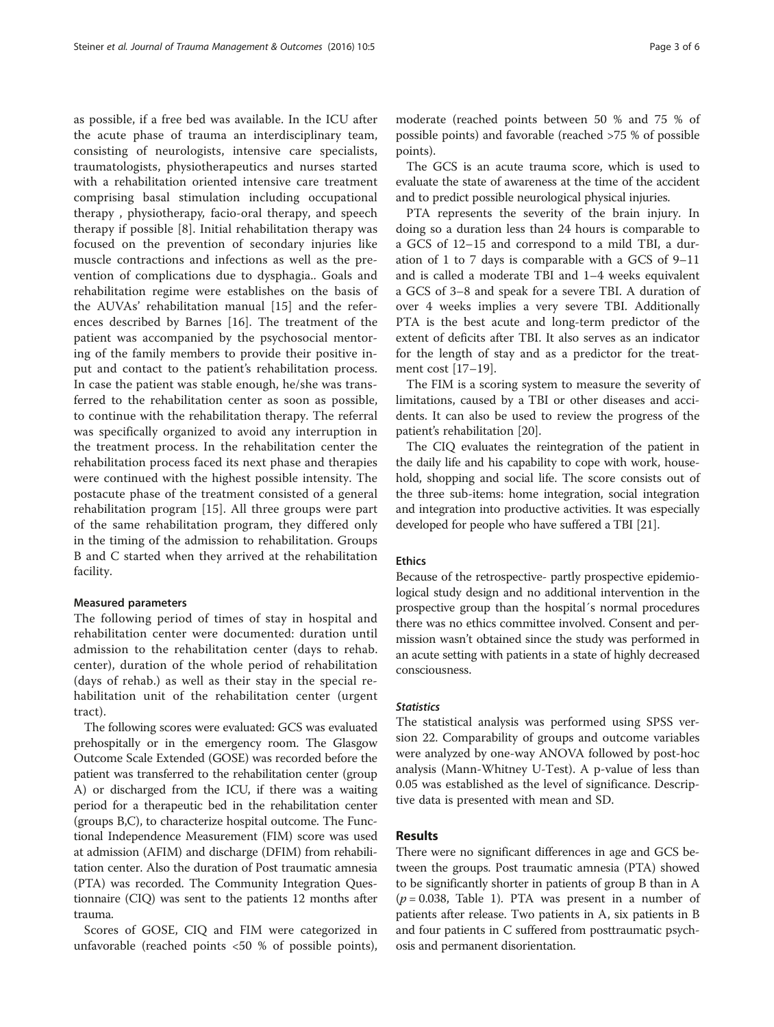as possible, if a free bed was available. In the ICU after the acute phase of trauma an interdisciplinary team, consisting of neurologists, intensive care specialists, traumatologists, physiotherapeutics and nurses started with a rehabilitation oriented intensive care treatment comprising basal stimulation including occupational therapy , physiotherapy, facio-oral therapy, and speech therapy if possible [[8](#page-5-0)]. Initial rehabilitation therapy was focused on the prevention of secondary injuries like muscle contractions and infections as well as the prevention of complications due to dysphagia.. Goals and rehabilitation regime were establishes on the basis of the AUVAs' rehabilitation manual [[15\]](#page-5-0) and the references described by Barnes [\[16](#page-5-0)]. The treatment of the patient was accompanied by the psychosocial mentoring of the family members to provide their positive input and contact to the patient's rehabilitation process. In case the patient was stable enough, he/she was transferred to the rehabilitation center as soon as possible, to continue with the rehabilitation therapy. The referral was specifically organized to avoid any interruption in the treatment process. In the rehabilitation center the rehabilitation process faced its next phase and therapies were continued with the highest possible intensity. The postacute phase of the treatment consisted of a general rehabilitation program [\[15](#page-5-0)]. All three groups were part of the same rehabilitation program, they differed only in the timing of the admission to rehabilitation. Groups B and C started when they arrived at the rehabilitation facility.

#### Measured parameters

The following period of times of stay in hospital and rehabilitation center were documented: duration until admission to the rehabilitation center (days to rehab. center), duration of the whole period of rehabilitation (days of rehab.) as well as their stay in the special rehabilitation unit of the rehabilitation center (urgent tract).

The following scores were evaluated: GCS was evaluated prehospitally or in the emergency room. The Glasgow Outcome Scale Extended (GOSE) was recorded before the patient was transferred to the rehabilitation center (group A) or discharged from the ICU, if there was a waiting period for a therapeutic bed in the rehabilitation center (groups B,C), to characterize hospital outcome. The Functional Independence Measurement (FIM) score was used at admission (AFIM) and discharge (DFIM) from rehabilitation center. Also the duration of Post traumatic amnesia (PTA) was recorded. The Community Integration Questionnaire (CIQ) was sent to the patients 12 months after trauma.

Scores of GOSE, CIQ and FIM were categorized in unfavorable (reached points <50 % of possible points), moderate (reached points between 50 % and 75 % of possible points) and favorable (reached >75 % of possible points).

The GCS is an acute trauma score, which is used to evaluate the state of awareness at the time of the accident and to predict possible neurological physical injuries.

PTA represents the severity of the brain injury. In doing so a duration less than 24 hours is comparable to a GCS of 12–15 and correspond to a mild TBI, a duration of 1 to 7 days is comparable with a GCS of 9–11 and is called a moderate TBI and 1–4 weeks equivalent a GCS of 3–8 and speak for a severe TBI. A duration of over 4 weeks implies a very severe TBI. Additionally PTA is the best acute and long-term predictor of the extent of deficits after TBI. It also serves as an indicator for the length of stay and as a predictor for the treatment cost [\[17](#page-5-0)–[19\]](#page-5-0).

The FIM is a scoring system to measure the severity of limitations, caused by a TBI or other diseases and accidents. It can also be used to review the progress of the patient's rehabilitation [[20](#page-5-0)].

The CIQ evaluates the reintegration of the patient in the daily life and his capability to cope with work, household, shopping and social life. The score consists out of the three sub-items: home integration, social integration and integration into productive activities. It was especially developed for people who have suffered a TBI [\[21\]](#page-5-0).

#### Ethics

Because of the retrospective- partly prospective epidemiological study design and no additional intervention in the prospective group than the hospital´s normal procedures there was no ethics committee involved. Consent and permission wasn't obtained since the study was performed in an acute setting with patients in a state of highly decreased consciousness.

#### **Statistics**

The statistical analysis was performed using SPSS version 22. Comparability of groups and outcome variables were analyzed by one-way ANOVA followed by post-hoc analysis (Mann-Whitney U-Test). A p-value of less than 0.05 was established as the level of significance. Descriptive data is presented with mean and SD.

#### Results

There were no significant differences in age and GCS between the groups. Post traumatic amnesia (PTA) showed to be significantly shorter in patients of group B than in A  $(p = 0.038,$  Table [1](#page-3-0)). PTA was present in a number of patients after release. Two patients in A, six patients in B and four patients in C suffered from posttraumatic psychosis and permanent disorientation.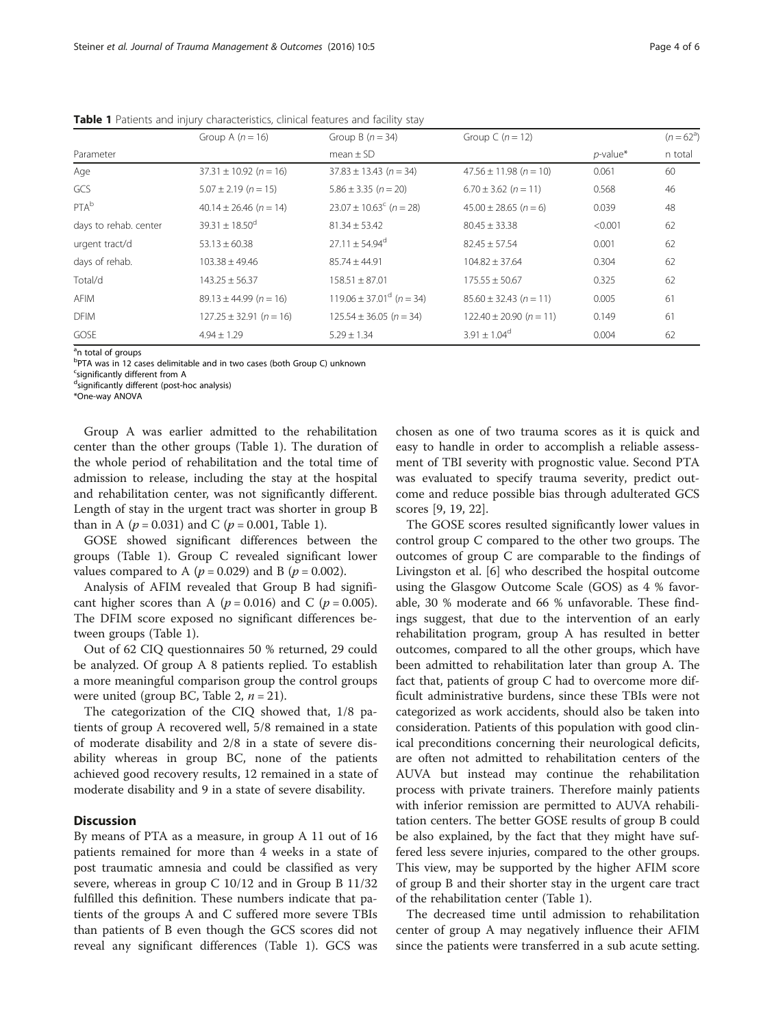|                       | Group A $(n = 16)$             | Group B $(n = 34)$                  | Group C $(n = 12)$          |             | $(n = 62^{\circ})$ |
|-----------------------|--------------------------------|-------------------------------------|-----------------------------|-------------|--------------------|
| Parameter             |                                | mean $\pm$ SD                       |                             | $p$ -value* | n total            |
| Age                   | $37.31 \pm 10.92$ (n = 16)     | $37.83 \pm 13.43$ (n = 34)          | $47.56 \pm 11.98$ (n = 10)  | 0.061       | 60                 |
| GCS                   | $5.07 \pm 2.19$ (n = 15)       | $5.86 \pm 3.35$ (n = 20)            | $6.70 \pm 3.62$ (n = 11)    | 0.568       | 46                 |
| PTA <sup>b</sup>      | $40.14 \pm 26.46$ (n = 14)     | $23.07 \pm 10.63^{\circ}$ (n = 28)  | $45.00 \pm 28.65$ (n = 6)   | 0.039       | 48                 |
| days to rehab. center | $39.31 \pm 18.50$ <sup>d</sup> | $81.34 \pm 53.42$                   | $80.45 \pm 33.38$           | < 0.001     | 62                 |
| urgent tract/d        | $53.13 \pm 60.38$              | $27.11 + 54.94^{\circ}$             | $82.45 + 57.54$             | 0.001       | 62                 |
| days of rehab.        | $103.38 \pm 49.46$             | $85.74 + 44.91$                     | $104.82 + 37.64$            | 0.304       | 62                 |
| Total/d               | $143.25 + 56.37$               | $158.51 + 87.01$                    | $175.55 + 50.67$            | 0.325       | 62                 |
| AFIM                  | $89.13 \pm 44.99$ (n = 16)     | $119.06 \pm 37.01^{\circ}$ (n = 34) | $85.60 \pm 32.43$ (n = 11)  | 0.005       | 61                 |
| <b>DFIM</b>           | $127.25 \pm 32.91$ (n = 16)    | $125.54 \pm 36.05$ (n = 34)         | $122.40 \pm 20.90$ (n = 11) | 0.149       | 61                 |
| GOSE                  | $4.94 + 1.29$                  | $5.29 \pm 1.34$                     | $3.91 + 1.04^{\circ}$       | 0.004       | 62                 |

<span id="page-3-0"></span>Table 1 Patients and injury characteristics, clinical features and facility stay

<sup>a</sup>n total of groups

<sup>b</sup>PTA was in 12 cases delimitable and in two cases (both Group C) unknown

<sup>c</sup>significantly different from A

dsignificantly different (post-hoc analysis)

\*One-way ANOVA

Group A was earlier admitted to the rehabilitation center than the other groups (Table 1). The duration of the whole period of rehabilitation and the total time of admission to release, including the stay at the hospital and rehabilitation center, was not significantly different. Length of stay in the urgent tract was shorter in group B than in A ( $p = 0.031$ ) and C ( $p = 0.001$ , Table 1).

GOSE showed significant differences between the groups (Table 1). Group C revealed significant lower values compared to A ( $p = 0.029$ ) and B ( $p = 0.002$ ).

Analysis of AFIM revealed that Group B had significant higher scores than A ( $p = 0.016$ ) and C ( $p = 0.005$ ). The DFIM score exposed no significant differences between groups (Table 1).

Out of 62 CIQ questionnaires 50 % returned, 29 could be analyzed. Of group A 8 patients replied. To establish a more meaningful comparison group the control groups were united (group BC, Table [2,](#page-4-0)  $n = 21$ ).

The categorization of the CIQ showed that, 1/8 patients of group A recovered well, 5/8 remained in a state of moderate disability and 2/8 in a state of severe disability whereas in group BC, none of the patients achieved good recovery results, 12 remained in a state of moderate disability and 9 in a state of severe disability.

#### **Discussion**

By means of PTA as a measure, in group A 11 out of 16 patients remained for more than 4 weeks in a state of post traumatic amnesia and could be classified as very severe, whereas in group C 10/12 and in Group B 11/32 fulfilled this definition. These numbers indicate that patients of the groups A and C suffered more severe TBIs than patients of B even though the GCS scores did not reveal any significant differences (Table 1). GCS was chosen as one of two trauma scores as it is quick and easy to handle in order to accomplish a reliable assessment of TBI severity with prognostic value. Second PTA was evaluated to specify trauma severity, predict outcome and reduce possible bias through adulterated GCS scores [[9, 19, 22\]](#page-5-0).

The GOSE scores resulted significantly lower values in control group C compared to the other two groups. The outcomes of group C are comparable to the findings of Livingston et al. [\[6](#page-5-0)] who described the hospital outcome using the Glasgow Outcome Scale (GOS) as 4 % favorable, 30 % moderate and 66 % unfavorable. These findings suggest, that due to the intervention of an early rehabilitation program, group A has resulted in better outcomes, compared to all the other groups, which have been admitted to rehabilitation later than group A. The fact that, patients of group C had to overcome more difficult administrative burdens, since these TBIs were not categorized as work accidents, should also be taken into consideration. Patients of this population with good clinical preconditions concerning their neurological deficits, are often not admitted to rehabilitation centers of the AUVA but instead may continue the rehabilitation process with private trainers. Therefore mainly patients with inferior remission are permitted to AUVA rehabilitation centers. The better GOSE results of group B could be also explained, by the fact that they might have suffered less severe injuries, compared to the other groups. This view, may be supported by the higher AFIM score of group B and their shorter stay in the urgent care tract of the rehabilitation center (Table 1).

The decreased time until admission to rehabilitation center of group A may negatively influence their AFIM since the patients were transferred in a sub acute setting.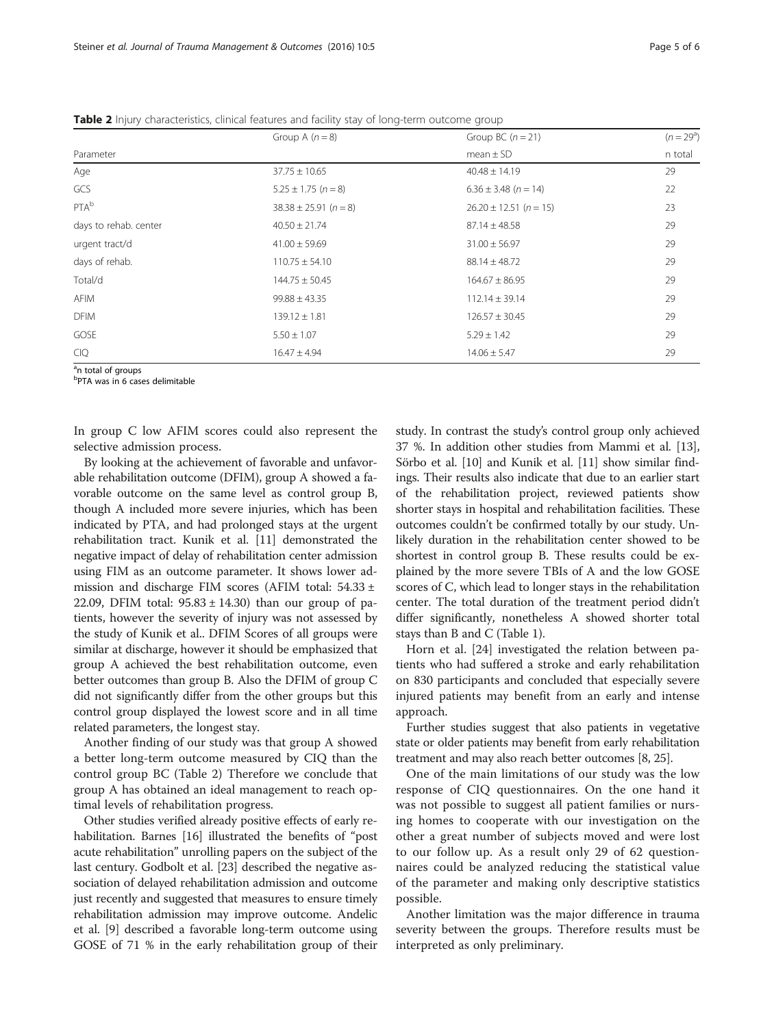|                       | Group A $(n = 8)$         | Group BC $(n = 21)$        | $(n=29^a)$ |  |
|-----------------------|---------------------------|----------------------------|------------|--|
| Parameter             |                           | $mean \pm SD$              | n total    |  |
| Age                   | $37.75 \pm 10.65$         | $40.48 \pm 14.19$          | 29         |  |
| GCS                   | $5.25 \pm 1.75$ (n = 8)   | $6.36 \pm 3.48$ (n = 14)   | 22         |  |
| PTA <sup>b</sup>      | $38.38 \pm 25.91$ (n = 8) | $26.20 \pm 12.51$ (n = 15) | 23         |  |
| days to rehab. center | $40.50 \pm 21.74$         | $87.14 \pm 48.58$          | 29         |  |
| urgent tract/d        | $41.00 \pm 59.69$         | $31.00 \pm 56.97$          | 29         |  |
| days of rehab.        | $110.75 \pm 54.10$        | $88.14 \pm 48.72$          | 29         |  |
| Total/d               | $144.75 \pm 50.45$        | $164.67 \pm 86.95$         | 29         |  |
| <b>AFIM</b>           | $99.88 \pm 43.35$         | $112.14 \pm 39.14$         | 29         |  |
| <b>DFIM</b>           | $139.12 \pm 1.81$         | $126.57 \pm 30.45$         | 29         |  |
| GOSE                  | $5.50 \pm 1.07$           | $5.29 \pm 1.42$            | 29         |  |
| <b>CIQ</b>            | $16.47 \pm 4.94$          | $14.06 \pm 5.47$           | 29         |  |
| $\sim$ $\sim$         |                           |                            |            |  |

<span id="page-4-0"></span>Table 2 Injury characteristics, clinical features and facility stay of long-term outcome group

<sup>a</sup>n total of groups

b PTA was in 6 cases delimitable

In group C low AFIM scores could also represent the selective admission process.

By looking at the achievement of favorable and unfavorable rehabilitation outcome (DFIM), group A showed a favorable outcome on the same level as control group B, though A included more severe injuries, which has been indicated by PTA, and had prolonged stays at the urgent rehabilitation tract. Kunik et al. [[11](#page-5-0)] demonstrated the negative impact of delay of rehabilitation center admission using FIM as an outcome parameter. It shows lower admission and discharge FIM scores (AFIM total: 54.33 ± 22.09, DFIM total:  $95.83 \pm 14.30$ ) than our group of patients, however the severity of injury was not assessed by the study of Kunik et al.. DFIM Scores of all groups were similar at discharge, however it should be emphasized that group A achieved the best rehabilitation outcome, even better outcomes than group B. Also the DFIM of group C did not significantly differ from the other groups but this control group displayed the lowest score and in all time related parameters, the longest stay.

Another finding of our study was that group A showed a better long-term outcome measured by CIQ than the control group BC (Table 2) Therefore we conclude that group A has obtained an ideal management to reach optimal levels of rehabilitation progress.

Other studies verified already positive effects of early rehabilitation. Barnes [\[16\]](#page-5-0) illustrated the benefits of "post acute rehabilitation" unrolling papers on the subject of the last century. Godbolt et al. [\[23\]](#page-5-0) described the negative association of delayed rehabilitation admission and outcome just recently and suggested that measures to ensure timely rehabilitation admission may improve outcome. Andelic et al. [\[9\]](#page-5-0) described a favorable long-term outcome using GOSE of 71 % in the early rehabilitation group of their study. In contrast the study's control group only achieved 37 %. In addition other studies from Mammi et al. [[13](#page-5-0)], Sörbo et al. [[10](#page-5-0)] and Kunik et al. [[11\]](#page-5-0) show similar findings. Their results also indicate that due to an earlier start of the rehabilitation project, reviewed patients show shorter stays in hospital and rehabilitation facilities. These outcomes couldn't be confirmed totally by our study. Unlikely duration in the rehabilitation center showed to be shortest in control group B. These results could be explained by the more severe TBIs of A and the low GOSE scores of C, which lead to longer stays in the rehabilitation center. The total duration of the treatment period didn't differ significantly, nonetheless A showed shorter total stays than B and C (Table [1](#page-3-0)).

Horn et al. [\[24](#page-5-0)] investigated the relation between patients who had suffered a stroke and early rehabilitation on 830 participants and concluded that especially severe injured patients may benefit from an early and intense approach.

Further studies suggest that also patients in vegetative state or older patients may benefit from early rehabilitation treatment and may also reach better outcomes [\[8, 25\]](#page-5-0).

One of the main limitations of our study was the low response of CIQ questionnaires. On the one hand it was not possible to suggest all patient families or nursing homes to cooperate with our investigation on the other a great number of subjects moved and were lost to our follow up. As a result only 29 of 62 questionnaires could be analyzed reducing the statistical value of the parameter and making only descriptive statistics possible.

Another limitation was the major difference in trauma severity between the groups. Therefore results must be interpreted as only preliminary.